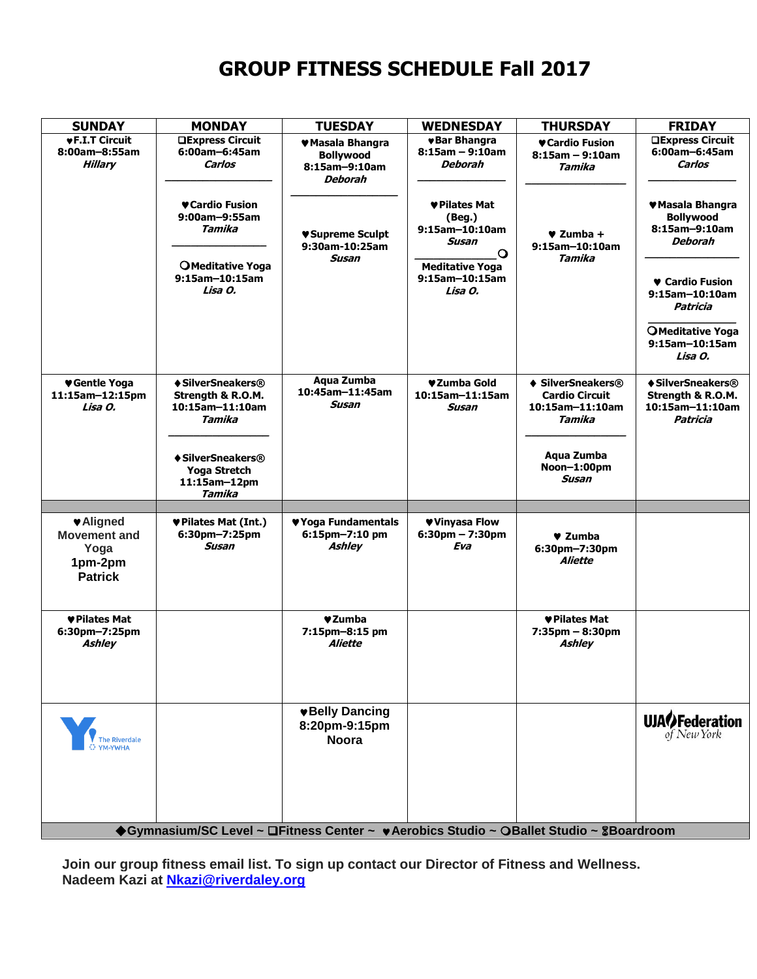# **GROUP FITNESS SCHEDULE Fall 2017**

| <b>SUNDAY</b>                                                               | <b>MONDAY</b>                                                       | <b>TUESDAY</b>                                                   | <b>WEDNESDAY</b>                                              | <b>THURSDAY</b>                                                         | <b>FRIDAY</b>                                                            |
|-----------------------------------------------------------------------------|---------------------------------------------------------------------|------------------------------------------------------------------|---------------------------------------------------------------|-------------------------------------------------------------------------|--------------------------------------------------------------------------|
| <b>vF.I.T Circuit</b><br>8:00am-8:55am<br><b>Hillary</b>                    | <b>QExpress Circuit</b><br>6:00am-6:45am<br>Carlos                  | ♥ Masala Bhangra<br><b>Bollywood</b><br>8:15am-9:10am<br>Deborah | <b>v</b> Bar Bhangra<br>$8:15am - 9:10am$<br>Deborah          | ♥ Cardio Fusion<br>$8:15am - 9:10am$<br>Tamika                          | <b>QExpress Circuit</b><br>6:00am-6:45am<br>Carlos                       |
|                                                                             | ♥ Cardio Fusion<br>9:00am-9:55am<br>Tamika                          | ♥Supreme Sculpt<br>9:30am-10:25am                                | ♥ Pilates Mat<br>(Beg.)<br>9:15am-10:10am<br>Susan<br>$\circ$ | $\blacktriangledown$ Zumba +<br>9:15am-10:10am                          | ♥ Masala Bhangra<br><b>Bollywood</b><br>8:15am-9:10am<br><b>Deborah</b>  |
|                                                                             | OMeditative Yoga<br>9:15am-10:15am<br>Lisa O.                       | Susan                                                            | <b>Meditative Yoga</b><br>9:15am-10:15am<br>Lisa O.           | Tamika                                                                  | ♥ Cardio Fusion<br>9:15am-10:10am<br>Patricia<br><b>OMeditative Yoga</b> |
|                                                                             |                                                                     |                                                                  |                                                               |                                                                         | 9:15am-10:15am<br>Lisa O.                                                |
| ♥ Gentle Yoga<br>11:15am-12:15pm<br>Lisa O.                                 | ♦ SilverSneakers®<br>Strength & R.O.M.<br>10:15am-11:10am<br>Tamika | Aqua Zumba<br>10:45am-11:45am<br>Susan                           | ♥Zumba Gold<br>10:15am-11:15am<br>Susan                       | ♦ SilverSneakers®<br><b>Cardio Circuit</b><br>10:15am-11:10am<br>Tamika | ♦ SilverSneakers®<br>Strength & R.O.M.<br>10:15am-11:10am<br>Patricia    |
|                                                                             | ♦ SilverSneakers®<br>Yoga Stretch<br>11:15am-12pm<br>Tamika         |                                                                  |                                                               | Aqua Zumba<br>Noon-1:00pm<br>Susan                                      |                                                                          |
|                                                                             |                                                                     |                                                                  |                                                               |                                                                         |                                                                          |
| <b>VAligned</b><br><b>Movement and</b><br>Yoga<br>1pm-2pm<br><b>Patrick</b> | ♥ Pilates Mat (Int.)<br>6:30pm-7:25pm<br>Susan                      | ♥ Yoga Fundamentals<br>6:15pm-7:10 pm<br><b>Ashley</b>           | ♥ Vinyasa Flow<br>$6:30$ pm - 7:30pm<br>Eva                   | $\blacktriangledown$ Zumba<br>6:30pm-7:30pm<br>Aliette                  |                                                                          |
| ♥ Pilates Mat<br>6:30pm-7:25pm<br><b>Ashley</b>                             |                                                                     | ♥Zumba<br>7:15pm-8:15 pm<br>Aliette                              |                                                               | ♥ Pilates Mat<br>$7:35$ pm $-8:30$ pm<br>Ashley                         |                                                                          |
|                                                                             |                                                                     | <b>*Belly Dancing</b><br>8:20pm-9:15pm<br><b>Noora</b>           |                                                               |                                                                         | <b>UJAO</b> Federation                                                   |
|                                                                             | $P_{11}$                                                            | $\Box$ Eitneee                                                   | Aorahian Chudin                                               | $\bigcap$ Dallat Ctudia<br>QD                                           |                                                                          |

**Gymnasium/SC Level ~ Fitness Center ~ Aerobics Studio ~ Ballet Studio ~ Boardroom**

**Join our group fitness email list. To sign up contact our Director of Fitness and Wellness. Nadeem Kazi at [Nkazi@riverdaley.org](mailto:Nkazi@riverdaley.org)**